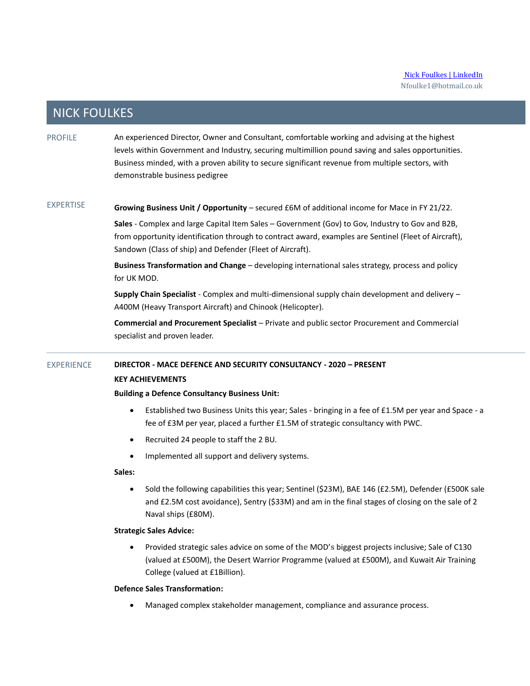### **NICK FOULKES**

PROFILE An experienced Director, Owner and Consultant, comfortable working and advising at the highest levels within Government and Industry, securing multimillion pound saving and sales opportunities. Business minded, with a proven ability to secure significant revenue from multiple sectors, with demonstrable business pedigree

EXPERTISE **Growing Business Unit / Opportunity** – secured £6M of additional income for Mace in FY 21/22.

> **Sales** - Complex and large Capital Item Sales – Government (Gov) to Gov, Industry to Gov and B2B, from opportunity identification through to contract award, examples are Sentinel (Fleet of Aircraft), Sandown (Class of ship) and Defender (Fleet of Aircraft).

**Business Transformation and Change** – developing international sales strategy, process and policy for UK MOD.

**Supply Chain Specialist** - Complex and multi-dimensional supply chain development and delivery – A400M (Heavy Transport Aircraft) and Chinook (Helicopter).

**Commercial and Procurement Specialist** – Private and public sector Procurement and Commercial specialist and proven leader.

### EXPERIENCE **DIRECTOR - MACE DEFENCE AND SECURITY CONSULTANCY - 2020 – PRESENT KEY ACHIEVEMENTS**

#### **Building a Defence Consultancy Business Unit:**

- Established two Business Units this year; Sales bringing in a fee of £1.5M per year and Space a fee of £3M per year, placed a further £1.5M of strategic consultancy with PWC.
- Recruited 24 people to staff the 2 BU.
- Implemented all support and delivery systems.

**Sales:** 

• Sold the following capabilities this year; Sentinel (\$23M), BAE 146 (£2.5M), Defender (£500K sale and £2.5M cost avoidance), Sentry (\$33M) and am in the final stages of closing on the sale of 2 Naval ships (£80M).

#### **Strategic Sales Advice:**

• Provided strategic sales advice on some of t**he** MOD'**s** biggest projects inclusive; Sale of C130 (valued at £500M), the Desert Warrior Programme (valued at £500M), a**nd** Kuwait Air Training College (valued at £1Billion).

#### **Defence Sales Transformation:**

• Managed complex stakeholder management, compliance and assurance process.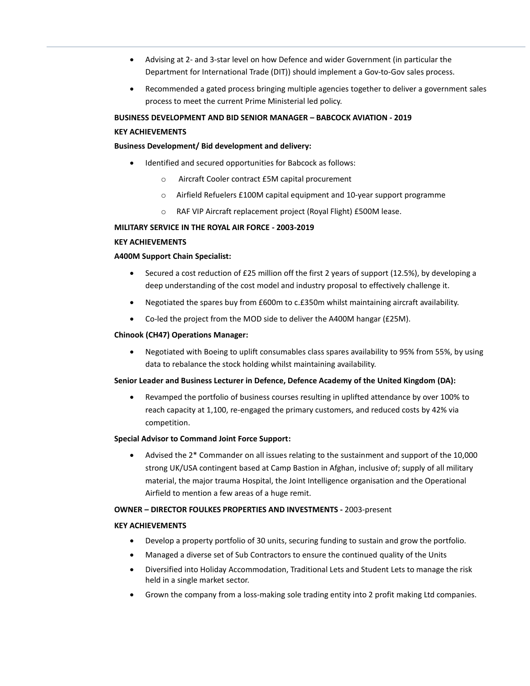- Advising at 2- and 3-star level on how Defence and wider Government (in particular the Department for International Trade (DIT)) should implement a Gov-to-Gov sales process.
- Recommended a gated process bringing multiple agencies together to deliver a government sales process to meet the current Prime Ministerial led policy.

**BUSINESS DEVELOPMENT AND BID SENIOR MANAGER – BABCOCK AVIATION - 2019**

#### **KEY ACHIEVEMENTS**

#### **Business Development/ Bid development and delivery:**

- Identified and secured opportunities for Babcock as follows:
	- o Aircraft Cooler contract £5M capital procurement
	- o Airfield Refuelers £100M capital equipment and 10-year support programme
	- o RAF VIP Aircraft replacement project (Royal Flight) £500M lease.

#### **MILITARY SERVICE IN THE ROYAL AIR FORCE - 2003-2019**

#### **KEY ACHIEVEMENTS**

#### **A400M Support Chain Specialist:**

- Secured a cost reduction of £25 million off the first 2 years of support (12.5%), by developing a deep understanding of the cost model and industry proposal to effectively challenge it.
- Negotiated the spares buy from £600m to c.£350m whilst maintaining aircraft availability.
- Co-led the project from the MOD side to deliver the A400M hangar (£25M).

#### **Chinook (CH47) Operations Manager:**

• Negotiated with Boeing to uplift consumables class spares availability to 95% from 55%, by using data to rebalance the stock holding whilst maintaining availability.

#### **Senior Leader and Business Lecturer in Defence, Defence Academy of the United Kingdom (DA):**

• Revamped the portfolio of business courses resulting in uplifted attendance by over 100% to reach capacity at 1,100, re-engaged the primary customers, and reduced costs by 42% via competition.

#### **Special Advisor to Command Joint Force Support:**

• Advised the 2\* Commander on all issues relating to the sustainment and support of the 10,000 strong UK/USA contingent based at Camp Bastion in Afghan, inclusive of; supply of all military material, the major trauma Hospital, the Joint Intelligence organisation and the Operational Airfield to mention a few areas of a huge remit.

#### **OWNER – DIRECTOR FOULKES PROPERTIES AND INVESTMENTS -** 2003-present

#### **KEY ACHIEVEMENTS**

- Develop a property portfolio of 30 units, securing funding to sustain and grow the portfolio.
- Managed a diverse set of Sub Contractors to ensure the continued quality of the Units
- Diversified into Holiday Accommodation, Traditional Lets and Student Lets to manage the risk held in a single market sector.
- Grown the company from a loss-making sole trading entity into 2 profit making Ltd companies.